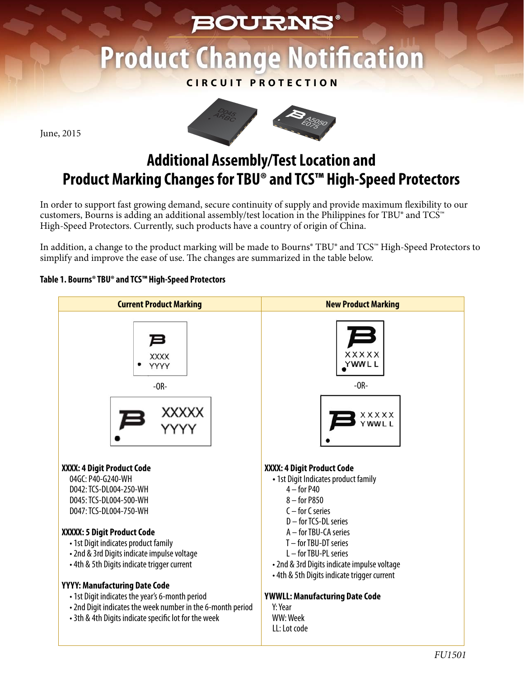# **BOURNS® Product Change Notification**

### **CIRCUIT PROTECTION**



June, 2015

## **Additional Assembly/Test Location and Product Marking Changes for TBU® and TCS™ High-Speed Protectors**

In order to support fast growing demand, secure continuity of supply and provide maximum flexibility to our customers, Bourns is adding an additional assembly/test location in the Philippines for TBU® and TCS™ High-Speed Protectors. Currently, such products have a country of origin of China.

In addition, a change to the product marking will be made to Bourns® TBU® and TCS™ High-Speed Protectors to simplify and improve the ease of use. The changes are summarized in the table below.

### **Table 1. Bourns® TBU® and TCS™ High-Speed Protectors**